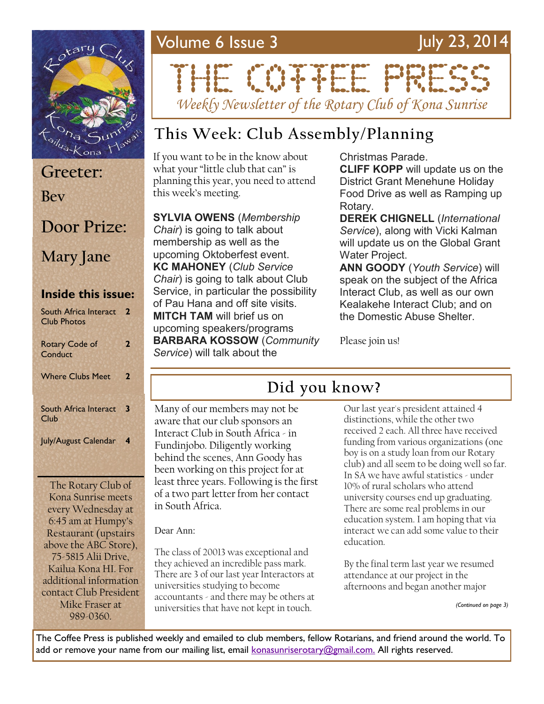

### **Inside this issue:** South Africa Interact **2** Club Photos **Greeter: Bev Door Prize: Mary Jane**

| <b>Rotary Code of</b><br>Conduct | 2                |
|----------------------------------|------------------|
| <b>Where Clubs Meet</b>          | 2                |
| South Africa Interact<br>Club    | $\mathbf{3}$     |
| July/August Calendar             | $\boldsymbol{4}$ |

The Rotary Club of Kona Sunrise meets every Wednesday at 6:45 am at Humpy's Restaurant (upstairs above the ABC Store), 75-5815 Alii Drive, Kailua Kona HI. For additional information contact Club President Mike Fraser at 989-0360.

### Volume 6 Issue 3 July 23, 2014

# THE CONFIDENTIAL

*Weekly Newsletter of the Rotary Club of Kona Sunrise*

### **This Week: Club Assembly/Planning**

If you want to be in the know about what your "little club that can" is planning this year, you need to attend this week's meeting.

**SYLVIA OWENS** (*Membership Chair*) is going to talk about membership as well as the upcoming Oktoberfest event. **KC MAHONEY** (*Club Service Chair*) is going to talk about Club Service, in particular the possibility of Pau Hana and off site visits. **MITCH TAM** will brief us on upcoming speakers/programs **BARBARA KOSSOW** (*Community Service*) will talk about the

Christmas Parade.

**CLIFF KOPP** will update us on the District Grant Menehune Holiday Food Drive as well as Ramping up Rotary.

**DEREK CHIGNELL** (*International Service*), along with Vicki Kalman will update us on the Global Grant Water Project.

**ANN GOODY** (*Youth Service*) will speak on the subject of the Africa Interact Club, as well as our own Kealakehe Interact Club; and on the Domestic Abuse Shelter.

Please join us!

### **Did you know?**

Many of our members may not be aware that our club sponsors an Interact Club in South Africa - in Fundinjobo. Diligently working behind the scenes, Ann Goody has been working on this project for at least three years. Following is the first of a two part letter from her contact in South Africa.

Dear Ann:

The class of 20013 was exceptional and they achieved an incredible pass mark. There are 3 of our last year Interactors at universities studying to become accountants - and there may be others at universities that have not kept in touch.

Our last year's president attained 4 distinctions, while the other two received 2 each. All three have received funding from various organizations (one boy is on a study loan from our Rotary club) and all seem to be doing well so far. In SA we have awful statistics - under 10% of rural scholars who attend university courses end up graduating. There are some real problems in our education system. I am hoping that via interact we can add some value to their education.

By the final term last year we resumed attendance at our project in the afternoons and began another major

*(Continued on page 3)*

The Coffee Press is published weekly and emailed to club members, fellow Rotarians, and friend around the world. To add or remove your name from our mailing list, email [konasunriserotary@gmail.com.](mailto:konasunriserotary@gmail.com.) All rights reserved.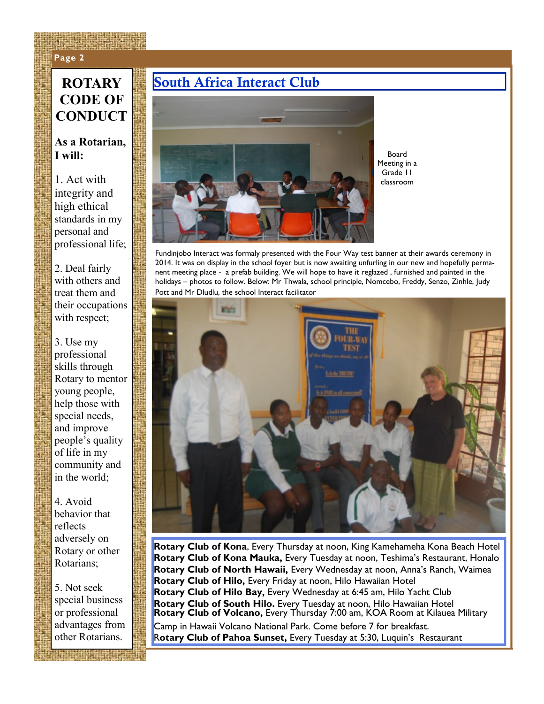### **Page 2 Page 2**

## **CODE OF CONDUCT**

#### **As a Rotarian, I will:**

1. Act with integrity and high ethical standards in my personal and professional life;

2. Deal fairly with others and treat them and their occupations with respect;

3. Use my professional skills through Rotary to mentor young people, help those with special needs, and improve people's quality of life in my community and in the world;

4. Avoid behavior that reflects adversely on Rotary or other Rotarians;

5. Not seek special business or professional advantages from other Rotarians.

### **ROTARY South Africa Interact Club**



Board Meeting in a Grade 11 classroom

Fundinjobo Interact was formaly presented with the Four Way test banner at their awards ceremony in 2014. It was on display in the school foyer but is now awaiting unfurling in our new and hopefully permanent meeting place - a prefab building. We will hope to have it reglazed , furnished and painted in the holidays – photos to follow. Below: Mr Thwala, school principle, Nomcebo, Freddy, Senzo, Zinhle, Judy Pott and Mr Dludlu, the school Interact facilitator



**Rotary Club of Kona**, Every Thursday at noon, King Kamehameha Kona Beach Hotel **Rotary Club of Kona Mauka,** Every Tuesday at noon, Teshima's Restaurant, Honalo **Rotary Club of North Hawaii,** Every Wednesday at noon, Anna's Ranch, Waimea **Rotary Club of Hilo,** Every Friday at noon, Hilo Hawaiian Hotel **Rotary Club of Hilo Bay,** Every Wednesday at 6:45 am, Hilo Yacht Club **Rotary Club of South Hilo.** Every Tuesday at noon, Hilo Hawaiian Hotel **Rotary Club of Volcano,** Every Thursday 7:00 am, KOA Room at Kilauea Military Camp in Hawaii Volcano National Park. Come before 7 for breakfast. R**otary Club of Pahoa Sunset,** Every Tuesday at 5:30, Luquin's Restaurant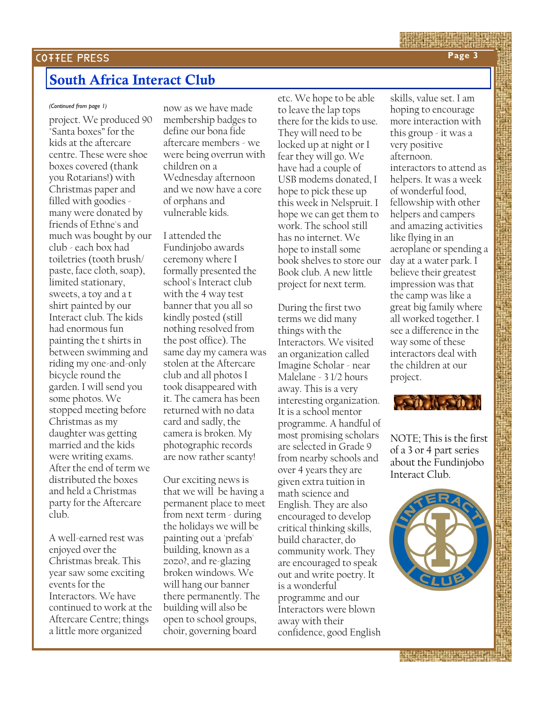### **South Africa Interact Club**

project. We produced 90 "Santa boxes" for the kids at the aftercare centre. These were shoe boxes covered (thank you Rotarians!) with Christmas paper and filled with goodies many were donated by friends of Ethne's and much was bought by our club - each box had toiletries (tooth brush/ paste, face cloth, soap), limited stationary, sweets, a toy and a t shirt painted by our Interact club. The kids had enormous fun painting the t shirts in between swimming and riding my one-and-only bicycle round the garden. I will send you some photos. We stopped meeting before Christmas as my daughter was getting married and the kids were writing exams. After the end of term we distributed the boxes and held a Christmas party for the Aftercare club.

A well-earned rest was enjoyed over the Christmas break. This year saw some exciting events for the Interactors. We have continued to work at the Aftercare Centre; things a little more organized

*(Continued from page 1)* now as we have made membership badges to define our bona fide aftercare members - we were being overrun with children on a Wednesday afternoon and we now have a core of orphans and vulnerable kids.

> I attended the Fundinjobo awards ceremony where I formally presented the school's Interact club with the 4 way test banner that you all so kindly posted (still nothing resolved from the post office). The same day my camera was stolen at the Aftercare club and all photos I took disappeared with it. The camera has been returned with no data card and sadly, the camera is broken. My photographic records are now rather scanty!

> Our exciting news is that we will be having a permanent place to meet from next term - during the holidays we will be painting out a 'prefab' building, known as a zozo?, and re-glazing broken windows. We will hang our banner there permanently. The building will also be open to school groups, choir, governing board

etc. We hope to be able to leave the lap tops there for the kids to use. They will need to be locked up at night or I fear they will go. We have had a couple of USB modems donated, I hope to pick these up this week in Nelspruit. I hope we can get them to work. The school still has no internet. We hope to install some book shelves to store our Book club. A new little project for next term.

During the first two terms we did many things with the Interactors. We visited an organization called Imagine Scholar - near Malelane - 3 1/2 hours away. This is a very interesting organization. It is a school mentor programme. A handful of most promising scholars are selected in Grade 9 from nearby schools and over 4 years they are given extra tuition in math science and English. They are also encouraged to develop critical thinking skills, build character, do community work. They are encouraged to speak out and write poetry. It is a wonderful programme and our Interactors were blown away with their confidence, good English skills, value set. I am hoping to encourage more interaction with this group - it was a very positive afternoon.

interactors to attend as helpers. It was a week of wonderful food, fellowship with other helpers and campers and amazing activities like flying in an aeroplane or spending a day at a water park. I believe their greatest impression was that the camp was like a great big family where all worked together. I see a difference in the way some of these interactors deal with the children at our project.



NOTE; This is the first of a 3 or 4 part series about the Fundinjobo Interact Club.